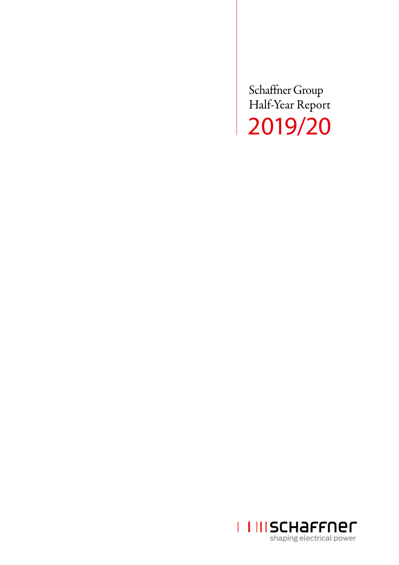Schaffner Group Half-Year Report 2019/20

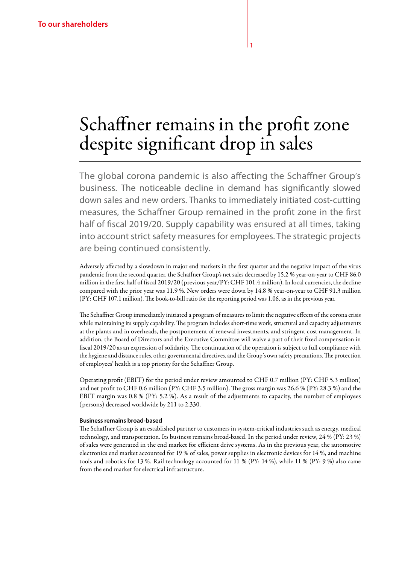# Schaffner remains in the profit zone despite significant drop in sales

1

The global corona pandemic is also affecting the Schaffner Group's business. The noticeable decline in demand has significantly slowed down sales and new orders. Thanks to immediately initiated cost-cutting measures, the Schaffner Group remained in the profit zone in the first half of fiscal 2019/20. Supply capability was ensured at all times, taking into account strict safety measures for employees. The strategic projects are being continued consistently.

Adversely affected by a slowdown in major end markets in the first quarter and the negative impact of the virus pandemic from the second quarter, the Schaffner Group's net sales decreased by 15.2 % year-on-year to CHF 86.0 million in the first half of fiscal 2019/20 (previous year/PY: CHF 101.4 million). In local currencies, the decline compared with the prior year was 11.9 %. New orders were down by 14.8 % year-on-year to CHF 91.3 million (PY: CHF 107.1 million). The book-to-bill ratio for the reporting period was 1.06, as in the previous year.

The Schaffner Group immediately initiated a program of measures to limit the negative effects of the corona crisis while maintaining its supply capability. The program includes short-time work, structural and capacity adjustments at the plants and in overheads, the postponement of renewal investments, and stringent cost management. In addition, the Board of Directors and the Executive Committee will waive a part of their fixed compensation in fiscal 2019/20 as an expression of solidarity. The continuation of the operation is subject to full compliance with the hygiene and distance rules, other governmental directives, and the Group's own safety precautions. The protection of employees' health is a top priority for the Schaffner Group.

Operating profit (EBIT) for the period under review amounted to CHF 0.7 million (PY: CHF 5.3 million) and net profit to CHF 0.6 million (PY: CHF 3.5 million). The gross margin was 26.6 % (PY: 28.3 %) and the EBIT margin was 0.8 % (PY: 5.2 %). As a result of the adjustments to capacity, the number of employees (persons) decreased worldwide by 211 to 2,330.

#### **Business remains broad-based**

The Schaffner Group is an established partner to customers in system-critical industries such as energy, medical technology, and transportation. Its business remains broad-based. In the period under review, 24 % (PY: 23 %) of sales were generated in the end market for efficient drive systems. As in the previous year, the automotive electronics end market accounted for 19 % of sales, power supplies in electronic devices for 14 %, and machine tools and robotics for 13 %. Rail technology accounted for 11 % (PY: 14 %), while 11 % (PY: 9 %) also came from the end market for electrical infrastructure.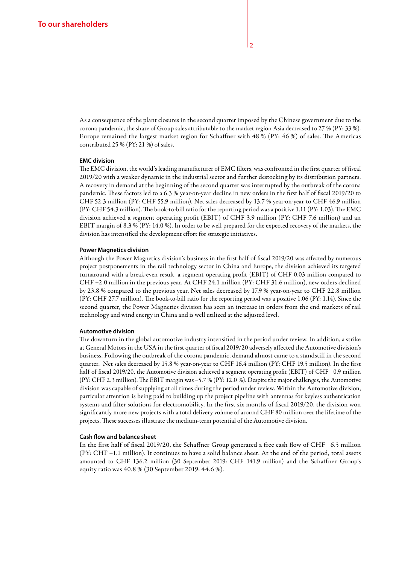As a consequence of the plant closures in the second quarter imposed by the Chinese government due to the corona pandemic, the share of Group sales attributable to the market region Asia decreased to 27 % (PY: 33 %). Europe remained the largest market region for Schaffner with 48 % (PY: 46 %) of sales. The Americas contributed 25 % (PY: 21 %) of sales.

#### **EMC division**

The EMC division, the world's leading manufacturer of EMC filters, was confronted in the first quarter of fiscal 2019/20 with a weaker dynamic in the industrial sector and further destocking by its distribution partners. A recovery in demand at the beginning of the second quarter was interrupted by the outbreak of the corona pandemic. These factors led to a 6.3 % year-on-year decline in new orders in the first half of fiscal 2019/20 to CHF 52.3 million (PY: CHF 55.9 million). Net sales decreased by 13.7 % year-on-year to CHF 46.9 million (PY: CHF 54.3 million). The book-to-bill ratio for the reporting period was a positive 1.11 (PY: 1.03). The EMC division achieved a segment operating profit (EBIT) of CHF 3.9 million (PY: CHF 7.6 million) and an EBIT margin of 8.3 % (PY: 14.0 %). In order to be well prepared for the expected recovery of the markets, the division has intensified the development effort for strategic initiatives.

#### **Power Magnetics division**

Although the Power Magnetics division's business in the first half of fiscal 2019/20 was affected by numerous project postponements in the rail technology sector in China and Europe, the division achieved its targeted turnaround with a break-even result, a segment operating profit (EBIT) of CHF 0.03 million compared to CHF –2.0 million in the previous year. At CHF 24.1 million (PY: CHF 31.6 million), new orders declined by 23.8 % compared to the previous year. Net sales decreased by 17.9 % year-on-year to CHF 22.8 million (PY: CHF 27.7 million). The book-to-bill ratio for the reporting period was a positive 1.06 (PY: 1.14). Since the second quarter, the Power Magnetics division has seen an increase in orders from the end markets of rail technology and wind energy in China and is well utilized at the adjusted level.

#### **Automotive division**

The downturn in the global automotive industry intensified in the period under review. In addition, a strike at General Motors in the USA in the first quarter of fiscal 2019/20 adversely affected the Automotive division's business. Following the outbreak of the corona pandemic, demand almost came to a standstill in the second quarter. Net sales decreased by 15.8 % year-on-year to CHF 16.4 million (PY: CHF 19.5 million). In the first half of fiscal 2019/20, the Automotive division achieved a segment operating profit (EBIT) of CHF –0.9 million (PY: CHF 2.3 million). The EBIT margin was –5.7 % (PY: 12.0 %). Despite the major challenges, the Automotive division was capable of supplying at all times during the period under review. Within the Automotive division, particular attention is being paid to building up the project pipeline with antennas for keyless authentication systems and filter solutions for electromobility. In the first six months of fiscal 2019/20, the division won significantly more new projects with a total delivery volume of around CHF 80 million over the lifetime of the projects. These successes illustrate the medium-term potential of the Automotive division.

#### **Cash flow and balance sheet**

In the first half of fiscal 2019/20, the Schaffner Group generated a free cash flow of CHF –6.5 million (PY: CHF –1.1 million). It continues to have a solid balance sheet. At the end of the period, total assets amounted to CHF 136.2 million (30 September 2019: CHF 141.9 million) and the Schaffner Group's equity ratio was 40.8 % (30 September 2019: 44.6 %).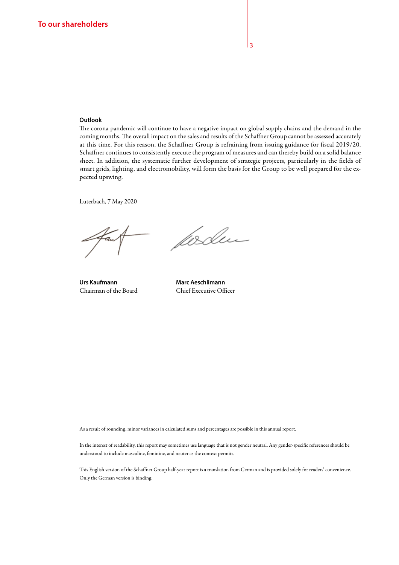#### **Outlook**

The corona pandemic will continue to have a negative impact on global supply chains and the demand in the coming months. The overall impact on the sales and results of the Schaffner Group cannot be assessed accurately at this time. For this reason, the Schaffner Group is refraining from issuing guidance for fiscal 2019/20. Schaffner continues to consistently execute the program of measures and can thereby build on a solid balance sheet. In addition, the systematic further development of strategic projects, particularly in the fields of smart grids, lighting, and electromobility, will form the basis for the Group to be well prepared for the expected upswing.

Luterbach, 7 May 2020

Urs Kaufmann **Marc Aeschlimann** 

forden

Chairman of the Board Chief Executive Officer

As a result of rounding, minor variances in calculated sums and percentages are possible in this annual report.

In the interest of readability, this report may sometimes use language that is not gender neutral. Any gender-specific references should be understood to include masculine, feminine, and neuter as the context permits.

This English version of the Schaffner Group half-year report is a translation from German and is provided solely for readers' convenience. Only the German version is binding.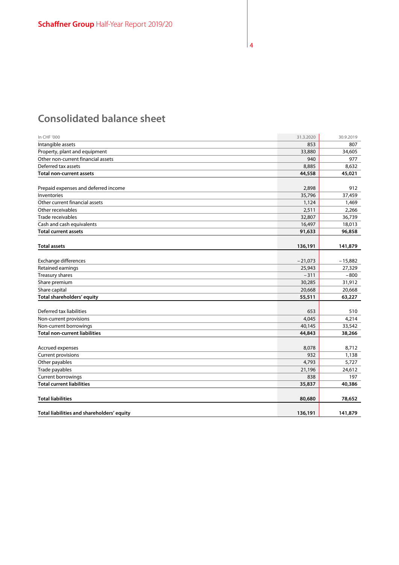# **Consolidated balance sheet**

| In CHF '000                                | 31.3.2020 | 30.9.2019 |
|--------------------------------------------|-----------|-----------|
| Intangible assets                          | 853       | 807       |
| Property, plant and equipment              | 33,880    | 34,605    |
| Other non-current financial assets         | 940       | 977       |
| Deferred tax assets                        | 8,885     | 8,632     |
| <b>Total non-current assets</b>            | 44,558    | 45,021    |
| Prepaid expenses and deferred income       | 2,898     | 912       |
| Inventories                                | 35,796    | 37,459    |
| Other current financial assets             | 1,124     | 1,469     |
| Other receivables                          | 2,511     | 2,266     |
| Trade receivables                          | 32,807    | 36,739    |
| Cash and cash equivalents                  | 16,497    | 18,013    |
| <b>Total current assets</b>                | 91,633    | 96,858    |
| <b>Total assets</b>                        | 136,191   | 141,879   |
|                                            |           |           |
| Exchange differences                       | $-21,073$ | $-15,882$ |
| Retained earnings                          | 25,943    | 27,329    |
| Treasury shares                            | $-311$    | $-800$    |
| Share premium                              | 30,285    | 31,912    |
| Share capital                              | 20,668    | 20,668    |
| Total shareholders' equity                 | 55,511    | 63,227    |
| Deferred tax liabilities                   | 653       | 510       |
| Non-current provisions                     | 4,045     | 4,214     |
| Non-current borrowings                     | 40,145    | 33,542    |
| <b>Total non-current liabilities</b>       | 44,843    | 38,266    |
| Accrued expenses                           | 8,078     | 8,712     |
| <b>Current provisions</b>                  | 932       | 1,138     |
| Other payables                             | 4,793     | 5,727     |
| Trade payables                             | 21,196    | 24,612    |
| Current borrowings                         | 838       | 197       |
| <b>Total current liabilities</b>           | 35,837    | 40,386    |
| <b>Total liabilities</b>                   | 80,680    | 78,652    |
| Total liabilities and shareholders' equity | 136,191   | 141,879   |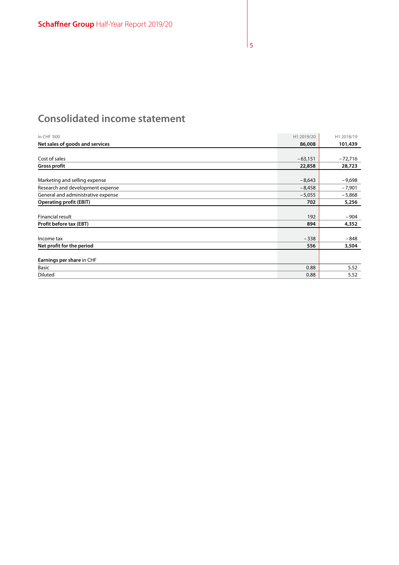# **Consolidated income statement**

| In CHF '000                        | H1 2019/20 | H1 2018/19 |
|------------------------------------|------------|------------|
| Net sales of goods and services    | 86,008     | 101,439    |
|                                    |            |            |
| Cost of sales                      | $-63,151$  | $-72,716$  |
| <b>Gross profit</b>                | 22,858     | 28,723     |
|                                    |            |            |
| Marketing and selling expense      | $-8,643$   | $-9,698$   |
| Research and development expense   | $-8,458$   | $-7,901$   |
| General and administrative expense | $-5,055$   | $-5,868$   |
| <b>Operating profit (EBIT)</b>     | 702        | 5,256      |
|                                    |            |            |
| <b>Financial result</b>            | 192        | $-904$     |
| Profit before tax (EBT)            | 894        | 4,352      |
|                                    |            |            |
| Income tax                         | $-338$     | $-848$     |
| Net profit for the period          | 556        | 3,504      |
|                                    |            |            |
| Earnings per share in CHF          |            |            |
| <b>Basic</b>                       | 0.88       | 5.52       |
| Diluted                            | 0.88       | 5.52       |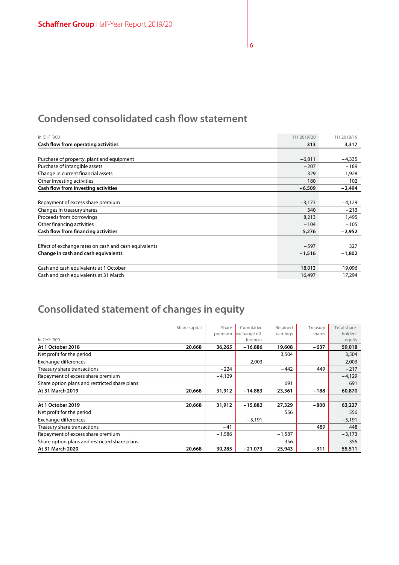# **Condensed consolidated cash flow statement**

| In CHF '000                                           | H1 2019/20 | H1 2018/19 |
|-------------------------------------------------------|------------|------------|
| Cash flow from operating activities                   | 313        | 3,317      |
|                                                       |            |            |
| Purchase of property, plant and equipment             | $-6,811$   | $-4,335$   |
| Purchase of intangible assets                         | $-207$     | $-189$     |
| Change in current financial assets                    | 329        | 1,928      |
| Other investing activities                            | 180        | 102        |
| Cash flow from investing activities                   | $-6,509$   | $-2,494$   |
|                                                       |            |            |
| Repayment of excess share premium                     | $-3,173$   | $-4,129$   |
| Changes in treasury shares                            | 340        | $-213$     |
| Proceeds from borrowings                              | 8,213      | 1,495      |
| Other financing activities                            | $-104$     | $-105$     |
| Cash flow from financing activities                   | 5,276      | $-2,952$   |
|                                                       |            |            |
| Effect of exchange rates on cash and cash equivalents | $-597$     | 327        |
| Change in cash and cash equivalents                   | $-1,516$   | $-1,802$   |
|                                                       |            |            |
| Cash and cash equivalents at 1 October                | 18,013     | 19,096     |
| Cash and cash equivalents at 31 March                 | 16,497     | 17,294     |

# **Consolidated statement of changes in equity**

|                                               | Share capital | Share    | Cumulative    | Retained | Treasury | Total share- |
|-----------------------------------------------|---------------|----------|---------------|----------|----------|--------------|
|                                               |               | premium  | exchange dif- | earnings | shares   | holders'     |
| In CHF '000                                   |               |          | ferences      |          |          | equity       |
| At 1 October 2018                             | 20,668        | 36,265   | $-16,886$     | 19,608   | $-637$   | 59,018       |
| Net profit for the period                     |               |          |               | 3,504    |          | 3,504        |
| Exchange differences                          |               |          | 2,003         |          |          | 2,003        |
| Treasury share transactions                   |               | $-224$   |               | $-442$   | 449      | $-217$       |
| Repayment of excess share premium             |               | -4,129   |               |          |          | $-4,129$     |
| Share option plans and restricted share plans |               |          |               | 691      |          | 691          |
| At 31 March 2019                              | 20,668        | 31,912   | $-14,883$     | 23,361   | -188     | 60,870       |
|                                               |               |          |               |          |          |              |
| At 1 October 2019                             | 20,668        | 31,912   | $-15,882$     | 27,329   | -800     | 63,227       |
| Net profit for the period                     |               |          |               | 556      |          | 556          |
| <b>Exchange differences</b>                   |               |          | $-5,191$      |          |          | $-5,191$     |
| Treasury share transactions                   |               | $-41$    |               |          | 489      | 448          |
| Repayment of excess share premium             |               | $-1,586$ |               | $-1,587$ |          | $-3,173$     |
| Share option plans and restricted share plans |               |          |               | $-356$   |          | $-356$       |
| At 31 March 2020                              | 20,668        | 30,285   | $-21,073$     | 25,943   | $-311$   | 55,511       |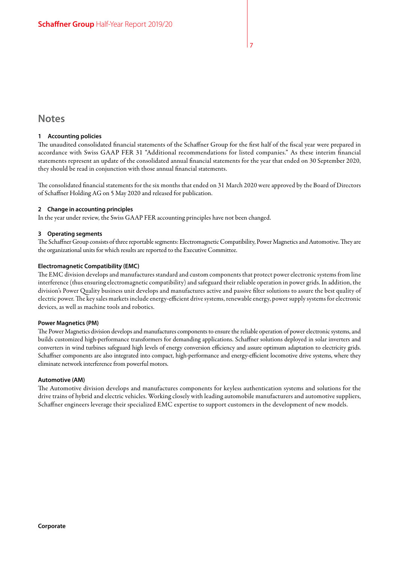### **Notes**

#### **1 Accounting policies**

The unaudited consolidated financial statements of the Schaffner Group for the first half of the fiscal year were prepared in accordance with Swiss GAAP FER 31 "Additional recommendations for listed companies." As these interim financial statements represent an update of the consolidated annual financial statements for the year that ended on 30 September 2020, they should be read in conjunction with those annual financial statements.

The consolidated financial statements for the six months that ended on 31 March 2020 were approved by the Board of Directors of Schaffner Holding AG on 5 May 2020 and released for publication.

#### **2 Change in accounting principles**

In the year under review, the Swiss GAAP FER accounting principles have not been changed.

#### **3 Operating segments**

The Schaffner Group consists of three reportable segments: Electromagnetic Compatibility, Power Magnetics and Automotive. They are the organizational units for which results are reported to the Executive Committee.

#### **Electromagnetic Compatibility (EMC)**

The EMC division develops and manufactures standard and custom components that protect power electronic systems from line interference (thus ensuring electromagnetic compatibility) and safeguard their reliable operation in power grids. In addition, the division's Power Quality business unit develops and manufactures active and passive filter solutions to assure the best quality of electric power. The key sales markets include energy-efficient drive systems, renewable energy, power supply systems for electronic devices, as well as machine tools and robotics.

#### **Power Magnetics (PM)**

The Power Magnetics division develops and manufactures components to ensure the reliable operation of power electronic systems, and builds customized high-performance transformers for demanding applications. Schaffner solutions deployed in solar inverters and converters in wind turbines safeguard high levels of energy conversion efficiency and assure optimum adaptation to electricity grids. Schaffner components are also integrated into compact, high-performance and energy-efficient locomotive drive systems, where they eliminate network interference from powerful motors.

#### **Automotive (AM)**

The Automotive division develops and manufactures components for keyless authentication systems and solutions for the drive trains of hybrid and electric vehicles. Working closely with leading automobile manufacturers and automotive suppliers, Schaffner engineers leverage their specialized EMC expertise to support customers in the development of new models.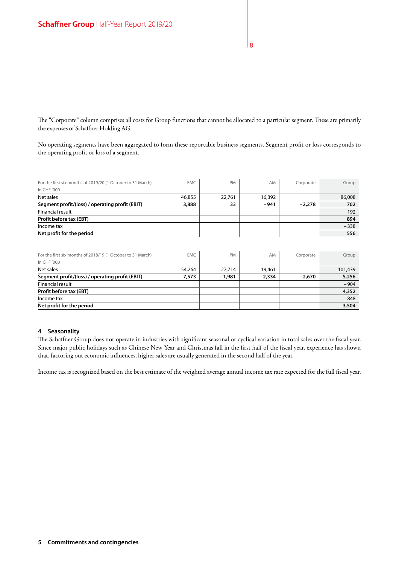The "Corporate" column comprises all costs for Group functions that cannot be allocated to a particular segment. These are primarily the expenses of Schaffner Holding AG.

No operating segments have been aggregated to form these reportable business segments. Segment profit or loss corresponds to the operating profit or loss of a segment.

| For the first six months of 2019/20 (1 October to 31 March) | EMC.   | PM     | AM     | Corporate | Group  |
|-------------------------------------------------------------|--------|--------|--------|-----------|--------|
| In CHF '000                                                 |        |        |        |           |        |
| Net sales                                                   | 46,855 | 22,761 | 16,392 |           | 86,008 |
| Segment profit/(loss) / operating profit (EBIT)             | 3,888  | 33     | $-941$ | $-2.278$  | 702    |
| Financial result                                            |        |        |        |           | 192    |
| Profit before tax (EBT)                                     |        |        |        |           | 894    |
| Income tax                                                  |        |        |        |           | $-338$ |
| Net profit for the period                                   |        |        |        |           | 556    |

| For the first six months of 2018/19 (1 October to 31 March) | EMC.   | <b>PM</b> | AM     | Corporate | Group   |
|-------------------------------------------------------------|--------|-----------|--------|-----------|---------|
| In CHF '000                                                 |        |           |        |           |         |
| Net sales                                                   | 54,264 | 27,714    | 19,461 |           | 101,439 |
| Segment profit/(loss) / operating profit (EBIT)             | 7.573  | $-1,981$  | 2,334  | $-2.670$  | 5,256   |
| <b>Financial result</b>                                     |        |           |        |           | $-904$  |
| Profit before tax (EBT)                                     |        |           |        |           | 4,352   |
| Income tax                                                  |        |           |        |           | $-848$  |
| Net profit for the period                                   |        |           |        |           | 3,504   |

#### **4 Seasonality**

The Schaffner Group does not operate in industries with significant seasonal or cyclical variation in total sales over the fiscal year. Since major public holidays such as Chinese New Year and Christmas fall in the first half of the fiscal year, experience has shown that, factoring out economic influences, higher sales are usually generated in the second half of the year.

Income tax is recognized based on the best estimate of the weighted average annual income tax rate expected for the full fiscal year.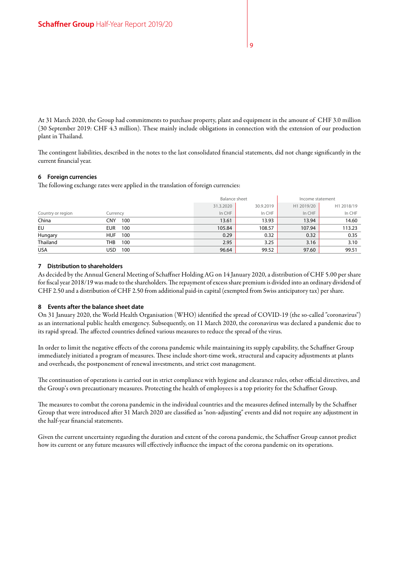At 31 March 2020, the Group had commitments to purchase property, plant and equipment in the amount of CHF 3.0 million (30 September 2019: CHF 4.3 million). These mainly include obligations in connection with the extension of our production plant in Thailand.

The contingent liabilities, described in the notes to the last consolidated financial statements, did not change significantly in the current financial year.

#### **6 Foreign currencies**

The following exchange rates were applied in the translation of foreign currencies:

|                   |                   |           | Balance sheet |            | Income statement |
|-------------------|-------------------|-----------|---------------|------------|------------------|
|                   |                   | 31.3.2020 | 30.9.2019     | H1 2019/20 | H1 2018/19       |
| Country or region | Currency          | In CHF    | In CHF        | In CHF     | In CHF           |
| China             | CNY<br>100        | 13.61     | 13.93         | 13.94      | 14.60            |
| EU                | <b>EUR</b><br>100 | 105.84    | 108.57        | 107.94     | 113.23           |
| Hungary           | <b>HUF</b><br>100 | 0.29      | 0.32          | 0.32       | 0.35             |
| Thailand          | THB<br>100        | 2.95      | 3.25          | 3.16       | 3.10             |
| <b>USA</b>        | USD<br>100        | 96.64     | 99.52         | 97.60      | 99.51            |

#### **7 Distribution to shareholders**

As decided by the Annual General Meeting of Schaffner Holding AG on 14 January 2020, a distribution of CHF 5.00 per share for fiscal year 2018/19 was made to the shareholders. The repayment of excess share premium is divided into an ordinary dividend of CHF 2.50 and a distribution of CHF 2.50 from additional paid-in capital (exempted from Swiss anticipatory tax) per share.

#### **8 Events after the balance sheet date**

On 31 January 2020, the World Health Organisation (WHO) identified the spread of COVID-19 (the so-called "coronavirus") as an international public health emergency. Subsequently, on 11 March 2020, the coronavirus was declared a pandemic due to its rapid spread. The affected countries defined various measures to reduce the spread of the virus.

In order to limit the negative effects of the corona pandemic while maintaining its supply capability, the Schaffner Group immediately initiated a program of measures. These include short-time work, structural and capacity adjustments at plants and overheads, the postponement of renewal investments, and strict cost management.

The continuation of operations is carried out in strict compliance with hygiene and clearance rules, other official directives, and the Group's own precautionary measures. Protecting the health of employees is a top priority for the Schaffner Group.

The measures to combat the corona pandemic in the individual countries and the measures defined internally by the Schaffner Group that were introduced after 31 March 2020 are classified as "non-adjusting" events and did not require any adjustment in the half-year financial statements.

Given the current uncertainty regarding the duration and extent of the corona pandemic, the Schaffner Group cannot predict how its current or any future measures will effectively influence the impact of the corona pandemic on its operations.